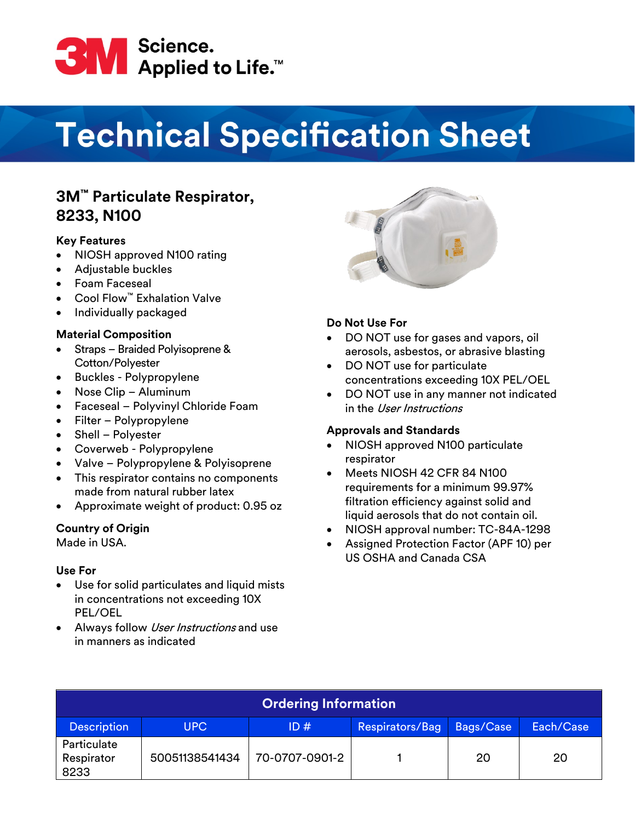

# **Technical Specification Sheet**

# **3M™ Particulate Respirator, 8233, N100**

## **Key Features**

- NIOSH approved N100 rating
- Adjustable buckles
- Foam Faceseal
- Cool Flow™ Exhalation Valve
- Individually packaged

## **Material Composition**

- Straps Braided Polyisoprene & Cotton/Polyester
- Buckles Polypropylene
- Nose Clip Aluminum
- Faceseal Polyvinyl Chloride Foam
- Filter Polypropylene
- Shell Polyester
- Coverweb Polypropylene
- Valve Polypropylene & Polyisoprene
- This respirator contains no components made from natural rubber latex
- Approximate weight of product: 0.95 oz

#### **Country of Origin**

Made in USA.

# **Use For**

- Use for solid particulates and liquid mists in concentrations not exceeding 10X PEL/OEL
- Always follow *User Instructions* and use in manners as indicated



# **Do Not Use For**

- DO NOT use for gases and vapors, oil aerosols, asbestos, or abrasive blasting
- DO NOT use for particulate concentrations exceeding 10X PEL/OEL
- DO NOT use in any manner not indicated in the User Instructions

#### **Approvals and Standards**

- NIOSH approved N100 particulate respirator
- Meets NIOSH 42 CFR 84 N100 requirements for a minimum 99.97% filtration efficiency against solid and liquid aerosols that do not contain oil.
- NIOSH approval number: TC-84A-1298
- Assigned Protection Factor (APF 10) per US OSHA and Canada CSA

| <b>Ordering Information</b>       |                |                |                 |           |           |  |
|-----------------------------------|----------------|----------------|-----------------|-----------|-----------|--|
| <b>Description</b>                | UPC.           | ID#            | Respirators/Bag | Bags/Case | Each/Case |  |
| Particulate<br>Respirator<br>8233 | 50051138541434 | 70-0707-0901-2 |                 | 20        | 20        |  |